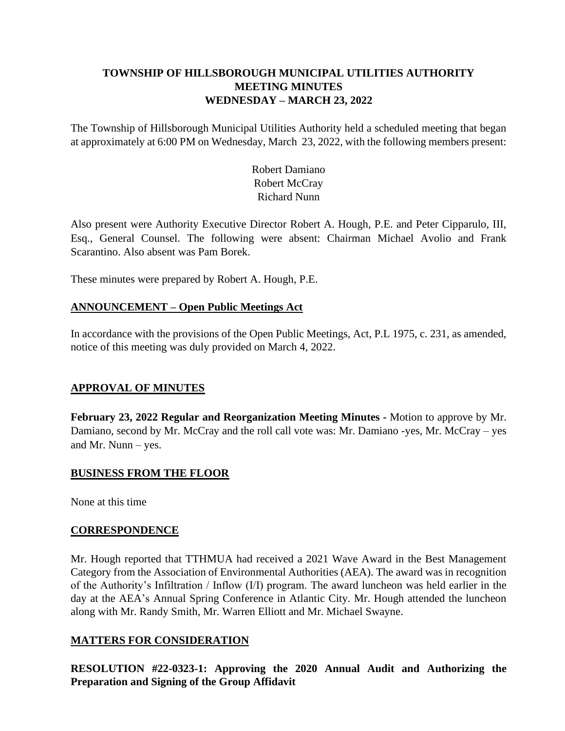## **TOWNSHIP OF HILLSBOROUGH MUNICIPAL UTILITIES AUTHORITY MEETING MINUTES WEDNESDAY – MARCH 23, 2022**

The Township of Hillsborough Municipal Utilities Authority held a scheduled meeting that began at approximately at 6:00 PM on Wednesday, March 23, 2022, with the following members present:

# Robert Damiano Robert McCray Richard Nunn

Also present were Authority Executive Director Robert A. Hough, P.E. and Peter Cipparulo, III, Esq., General Counsel. The following were absent: Chairman Michael Avolio and Frank Scarantino. Also absent was Pam Borek.

These minutes were prepared by Robert A. Hough, P.E.

# **ANNOUNCEMENT – Open Public Meetings Act**

In accordance with the provisions of the Open Public Meetings, Act, P.L 1975, c. 231, as amended, notice of this meeting was duly provided on March 4, 2022.

# **APPROVAL OF MINUTES**

**February 23, 2022 Regular and Reorganization Meeting Minutes -** Motion to approve by Mr. Damiano, second by Mr. McCray and the roll call vote was: Mr. Damiano -yes, Mr. McCray – yes and Mr. Nunn – yes.

### **BUSINESS FROM THE FLOOR**

None at this time

### **CORRESPONDENCE**

Mr. Hough reported that TTHMUA had received a 2021 Wave Award in the Best Management Category from the Association of Environmental Authorities (AEA). The award was in recognition of the Authority's Infiltration / Inflow (I/I) program. The award luncheon was held earlier in the day at the AEA's Annual Spring Conference in Atlantic City. Mr. Hough attended the luncheon along with Mr. Randy Smith, Mr. Warren Elliott and Mr. Michael Swayne.

# **MATTERS FOR CONSIDERATION**

**RESOLUTION #22-0323-1: Approving the 2020 Annual Audit and Authorizing the Preparation and Signing of the Group Affidavit**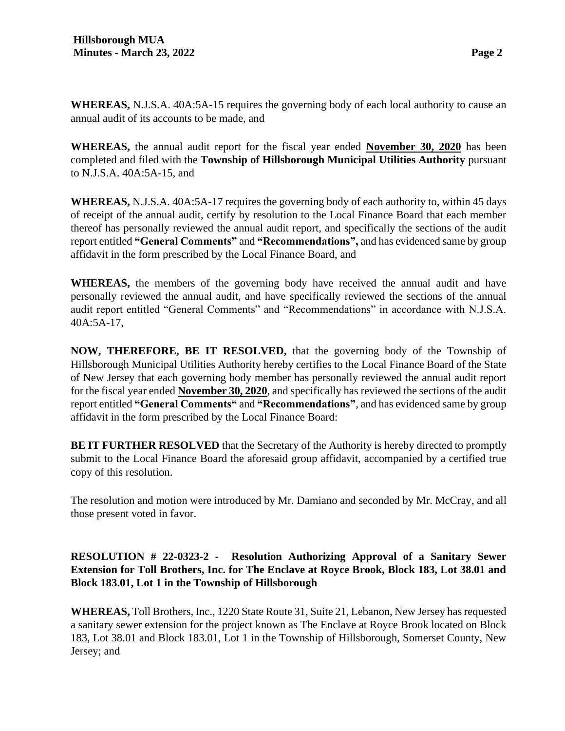**WHEREAS,** N.J.S.A. 40A:5A-15 requires the governing body of each local authority to cause an annual audit of its accounts to be made, and

**WHEREAS,** the annual audit report for the fiscal year ended **November 30, 2020** has been completed and filed with the **Township of Hillsborough Municipal Utilities Authority** pursuant to N.J.S.A. 40A:5A-15, and

**WHEREAS,** N.J.S.A. 40A:5A-17 requires the governing body of each authority to, within 45 days of receipt of the annual audit, certify by resolution to the Local Finance Board that each member thereof has personally reviewed the annual audit report, and specifically the sections of the audit report entitled **"General Comments"** and **"Recommendations",** and has evidenced same by group affidavit in the form prescribed by the Local Finance Board, and

**WHEREAS,** the members of the governing body have received the annual audit and have personally reviewed the annual audit, and have specifically reviewed the sections of the annual audit report entitled "General Comments" and "Recommendations" in accordance with N.J.S.A. 40A:5A-17,

**NOW, THEREFORE, BE IT RESOLVED,** that the governing body of the Township of Hillsborough Municipal Utilities Authority hereby certifies to the Local Finance Board of the State of New Jersey that each governing body member has personally reviewed the annual audit report for the fiscal year ended **November 30, 2020**, and specifically has reviewed the sections of the audit report entitled **"General Comments"** and **"Recommendations"**, and has evidenced same by group affidavit in the form prescribed by the Local Finance Board:

**BE IT FURTHER RESOLVED** that the Secretary of the Authority is hereby directed to promptly submit to the Local Finance Board the aforesaid group affidavit, accompanied by a certified true copy of this resolution.

The resolution and motion were introduced by Mr. Damiano and seconded by Mr. McCray, and all those present voted in favor.

## **RESOLUTION # 22-0323-2 - Resolution Authorizing Approval of a Sanitary Sewer Extension for Toll Brothers, Inc. for The Enclave at Royce Brook, Block 183, Lot 38.01 and Block 183.01, Lot 1 in the Township of Hillsborough**

**WHEREAS,** Toll Brothers, Inc., 1220 State Route 31, Suite 21, Lebanon, New Jersey has requested a sanitary sewer extension for the project known as The Enclave at Royce Brook located on Block 183, Lot 38.01 and Block 183.01, Lot 1 in the Township of Hillsborough, Somerset County, New Jersey; and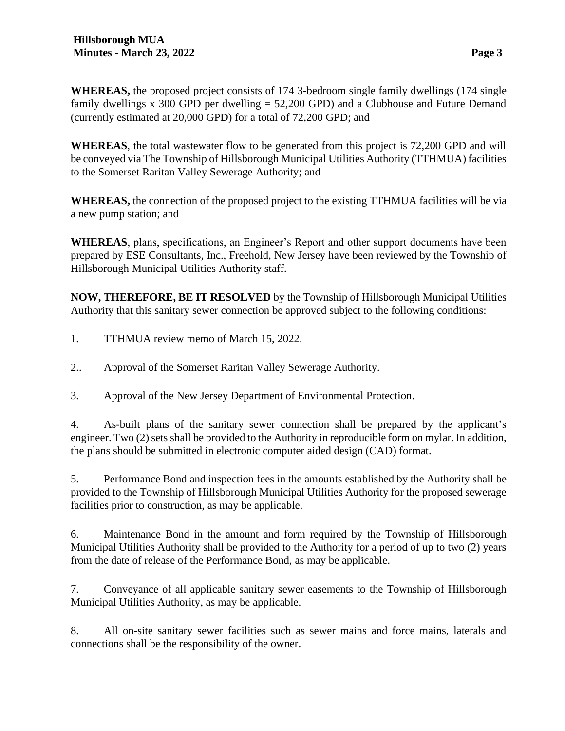**WHEREAS,** the proposed project consists of 174 3-bedroom single family dwellings (174 single family dwellings x 300 GPD per dwelling = 52,200 GPD) and a Clubhouse and Future Demand (currently estimated at 20,000 GPD) for a total of 72,200 GPD; and

**WHEREAS**, the total wastewater flow to be generated from this project is 72,200 GPD and will be conveyed via The Township of Hillsborough Municipal Utilities Authority (TTHMUA) facilities to the Somerset Raritan Valley Sewerage Authority; and

**WHEREAS,** the connection of the proposed project to the existing TTHMUA facilities will be via a new pump station; and

**WHEREAS**, plans, specifications, an Engineer's Report and other support documents have been prepared by ESE Consultants, Inc., Freehold, New Jersey have been reviewed by the Township of Hillsborough Municipal Utilities Authority staff.

**NOW, THEREFORE, BE IT RESOLVED** by the Township of Hillsborough Municipal Utilities Authority that this sanitary sewer connection be approved subject to the following conditions:

- 1. TTHMUA review memo of March 15, 2022.
- 2.. Approval of the Somerset Raritan Valley Sewerage Authority.
- 3. Approval of the New Jersey Department of Environmental Protection.

4. As-built plans of the sanitary sewer connection shall be prepared by the applicant's engineer. Two (2) sets shall be provided to the Authority in reproducible form on mylar. In addition, the plans should be submitted in electronic computer aided design (CAD) format.

5. Performance Bond and inspection fees in the amounts established by the Authority shall be provided to the Township of Hillsborough Municipal Utilities Authority for the proposed sewerage facilities prior to construction, as may be applicable.

6. Maintenance Bond in the amount and form required by the Township of Hillsborough Municipal Utilities Authority shall be provided to the Authority for a period of up to two (2) years from the date of release of the Performance Bond, as may be applicable.

7. Conveyance of all applicable sanitary sewer easements to the Township of Hillsborough Municipal Utilities Authority, as may be applicable.

8. All on-site sanitary sewer facilities such as sewer mains and force mains, laterals and connections shall be the responsibility of the owner.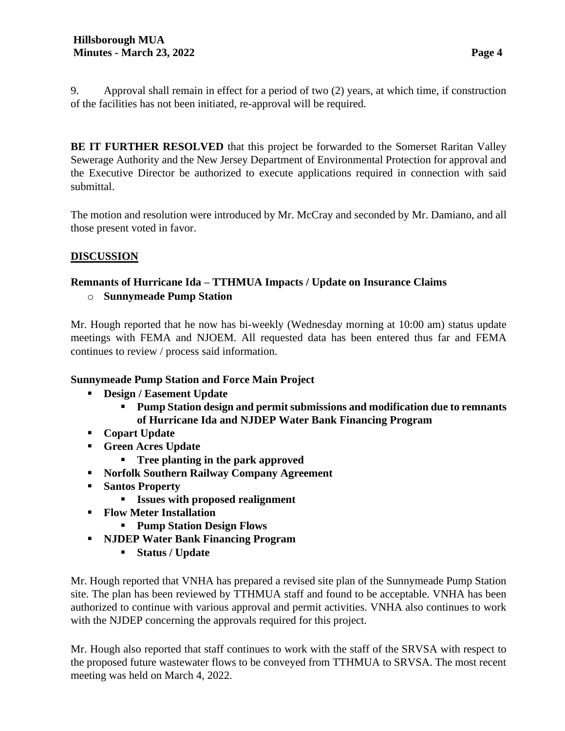9. Approval shall remain in effect for a period of two (2) years, at which time, if construction of the facilities has not been initiated, re-approval will be required.

**BE IT FURTHER RESOLVED** that this project be forwarded to the Somerset Raritan Valley Sewerage Authority and the New Jersey Department of Environmental Protection for approval and the Executive Director be authorized to execute applications required in connection with said submittal.

The motion and resolution were introduced by Mr. McCray and seconded by Mr. Damiano, and all those present voted in favor.

# **DISCUSSION**

## **Remnants of Hurricane Ida – TTHMUA Impacts / Update on Insurance Claims**

o **Sunnymeade Pump Station**

Mr. Hough reported that he now has bi-weekly (Wednesday morning at 10:00 am) status update meetings with FEMA and NJOEM. All requested data has been entered thus far and FEMA continues to review / process said information.

### **Sunnymeade Pump Station and Force Main Project**

- **Design / Easement Update** 
	- **Pump Station design and permit submissions and modification due to remnants of Hurricane Ida and NJDEP Water Bank Financing Program**
- **Copart Update**
- **Green Acres Update**
	- **Tree planting in the park approved**
- **Norfolk Southern Railway Company Agreement**
- **Santos Property** 
	- **Issues with proposed realignment**
- **Flow Meter Installation**
	- **Pump Station Design Flows**
- **NJDEP Water Bank Financing Program**
	- **Status / Update**

Mr. Hough reported that VNHA has prepared a revised site plan of the Sunnymeade Pump Station site. The plan has been reviewed by TTHMUA staff and found to be acceptable. VNHA has been authorized to continue with various approval and permit activities. VNHA also continues to work with the NJDEP concerning the approvals required for this project.

Mr. Hough also reported that staff continues to work with the staff of the SRVSA with respect to the proposed future wastewater flows to be conveyed from TTHMUA to SRVSA. The most recent meeting was held on March 4, 2022.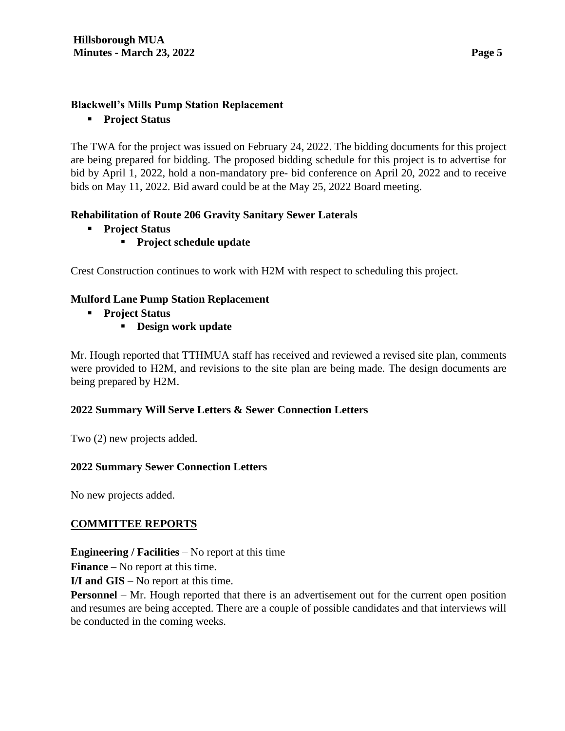## **Blackwell's Mills Pump Station Replacement**

▪ **Project Status**

The TWA for the project was issued on February 24, 2022. The bidding documents for this project are being prepared for bidding. The proposed bidding schedule for this project is to advertise for bid by April 1, 2022, hold a non-mandatory pre- bid conference on April 20, 2022 and to receive bids on May 11, 2022. Bid award could be at the May 25, 2022 Board meeting.

## **Rehabilitation of Route 206 Gravity Sanitary Sewer Laterals**

- **Project Status**
	- **Project schedule update**

Crest Construction continues to work with H2M with respect to scheduling this project.

### **Mulford Lane Pump Station Replacement**

- **Project Status**
	- **Design work update**

Mr. Hough reported that TTHMUA staff has received and reviewed a revised site plan, comments were provided to H2M, and revisions to the site plan are being made. The design documents are being prepared by H2M.

# **2022 Summary Will Serve Letters & Sewer Connection Letters**

Two (2) new projects added.

### **2022 Summary Sewer Connection Letters**

No new projects added.

### **COMMITTEE REPORTS**

**Engineering / Facilities** – No report at this time

**Finance** – No report at this time.

**I/I and GIS** – No report at this time.

**Personnel** – Mr. Hough reported that there is an advertisement out for the current open position and resumes are being accepted. There are a couple of possible candidates and that interviews will be conducted in the coming weeks.